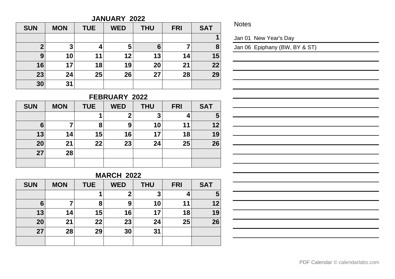#### **JANUARY 2022**

| <b>SUN</b> | <b>MON</b> | <b>TUE</b> | <b>WED</b> | <b>THU</b> | <b>FRI</b> | <b>SAT</b> |
|------------|------------|------------|------------|------------|------------|------------|
|            |            |            |            |            |            |            |
| າ          | 3          |            | 5          | 6          |            | 8          |
| 9          | 10         | 11         | 12         | 13         | 14         | 15         |
| 16         | 17         | 18         | 19         | 20         | 21         | 22         |
| 23         | 24         | 25         | 26         | 27         | 28         | 29         |
| 30         | 31         |            |            |            |            |            |

**Notes** 

Jan 01 New Year's Day

Jan 06 Epiphany (BW, BY & ST)

# **FEBRUARY 2022**

| <b>SUN</b> | <b>MON</b> | <b>TUE</b> | <b>WED</b> | <b>THU</b> | <b>FRI</b> | <b>SAT</b> |
|------------|------------|------------|------------|------------|------------|------------|
|            |            |            | ŋ          | 3          |            | 5          |
| 6          |            | 8          | 9          | 10         | 11         | 12         |
| 13         | 14         | 15         | 16         | 17         | 18         | 19         |
| 20         | 21         | 22         | 23         | 24         | 25         | 26         |
| 27         | 28         |            |            |            |            |            |
|            |            |            |            |            |            |            |

## **MARCH 2022**

| <b>SUN</b> | <b>MON</b> | <b>TUE</b> | <b>WED</b> | <b>THU</b> | <b>FRI</b> | <b>SAT</b> |
|------------|------------|------------|------------|------------|------------|------------|
|            |            |            | 2          | 3          |            | 5          |
| 6          | 7          | 8          | 9          | 10         | 11         | 12         |
| 13         | 14         | 15         | 16         | 17         | 18         | 19         |
| 20         | 21         | 22         | 23         | 24         | 25         | 26         |
| 27         | 28         | 29         | 30         | 31         |            |            |
|            |            |            |            |            |            |            |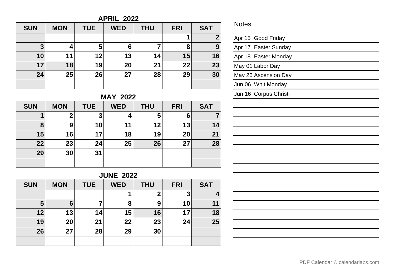## **APRIL 2022**

| <b>SUN</b> | <b>MON</b> | <b>TUE</b> | <b>WED</b> | <b>THU</b> | <b>FRI</b> | <b>SAT</b>   |
|------------|------------|------------|------------|------------|------------|--------------|
|            |            |            |            |            |            | $\mathbf{2}$ |
| 3          | 4          | 5          | 6          |            | 8          | 9            |
| 10         | 11         | 12         | 13         | 14         | 15         | 16           |
| 17         | 18         | 19         | 20         | 21         | 22         | 23           |
| 24         | 25         | 26         | 27         | 28         | 29         | 30           |
|            |            |            |            |            |            |              |

# **MAY 2022**

| <b>SUN</b> | <b>MON</b>  | <b>TUE</b> | <b>WED</b> | <b>THU</b> | <b>FRI</b> | <b>SAT</b> |
|------------|-------------|------------|------------|------------|------------|------------|
|            | $\mathbf 2$ | 3          |            | 5          | 6          |            |
| 8          | 9           | 10         | 11         | 12         | 13         | 14         |
| 15         | 16          | 17         | 18         | 19         | 20         | 21         |
| 22         | 23          | 24         | 25         | 26         | 27         | 28         |
| 29         | 30          | 31         |            |            |            |            |
|            |             |            |            |            |            |            |

# **JUNE 2022**

| <b>SUN</b> | <b>MON</b> | <b>TUE</b> | <b>WED</b> | <b>THU</b>  | <b>FRI</b> | <b>SAT</b> |
|------------|------------|------------|------------|-------------|------------|------------|
|            |            |            |            | $\mathbf 2$ | 3          |            |
| 5          | 6          |            | 8          | 9           | 10         | 11         |
| 12         | 13         | 14         | 15         | 16          | 17         | 18         |
| 19         | 20         | 21         | 22         | 23          | 24         | 25         |
| 26         | 27         | 28         | 29         | 30          |            |            |
|            |            |            |            |             |            |            |

## Notes

| Apr 15 Good Friday    |
|-----------------------|
| Apr 17 Easter Sunday  |
| Apr 18 Easter Monday  |
| May 01 Labor Day      |
| May 26 Ascension Day  |
| Jun 06 Whit Monday    |
| Jun 16 Corpus Christi |
|                       |
|                       |
|                       |
|                       |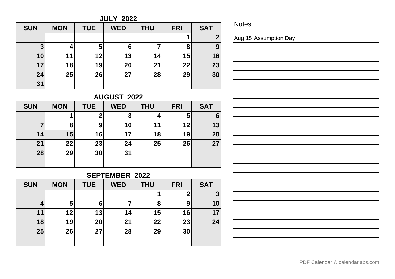**JULY 2022**

| <b>SUN</b> | <b>MON</b> | <b>TUE</b> | <b>WED</b> | <b>THU</b> | <b>FRI</b> | <b>SAT</b> |
|------------|------------|------------|------------|------------|------------|------------|
|            |            |            |            |            |            | ◠          |
| 3          | 4          | 5          | 6          |            | 8          | 9          |
| 10         | 11         | 12         | 13         | 14         | 15         | 16         |
| 17         | 18         | 19         | 20         | 21         | 22         | 23         |
| 24         | 25         | 26         | 27         | 28         | 29         | 30         |
| 31         |            |            |            |            |            |            |

**Notes** 

Aug 15 Assumption Day

# **AUGUST 2022**

| <b>SUN</b> | <b>MON</b> | <b>TUE</b> | <b>WED</b> | <b>THU</b> | <b>FRI</b> | <b>SAT</b> |
|------------|------------|------------|------------|------------|------------|------------|
|            | 1          |            | 3          |            | 5          | 6          |
|            | 8          | 9          | 10         | 11         | 12         | 13         |
| 14         | 15         | 16         | 17         | 18         | 19         | 20         |
| 21         | 22         | 23         | 24         | 25         | 26         | 27         |
| 28         | 29         | 30         | 31         |            |            |            |
|            |            |            |            |            |            |            |

# **SEPTEMBER 2022**

| <b>SUN</b> | <b>MON</b> | <b>TUE</b> | <b>WED</b> | <b>THU</b> | <b>FRI</b> | <b>SAT</b> |
|------------|------------|------------|------------|------------|------------|------------|
|            |            |            |            |            |            | 3          |
| 4          | 5          | 6          |            | 8          | 9          | 10         |
| 11         | 12         | 13         | 14         | 15         | 16         | 17         |
| 18         | 19         | 20         | 21         | 22         | 23         | 24         |
| 25         | 26         | 27         | 28         | 29         | 30         |            |
|            |            |            |            |            |            |            |

|  | PDF Calendar © calendarlabs.com |
|--|---------------------------------|
|--|---------------------------------|